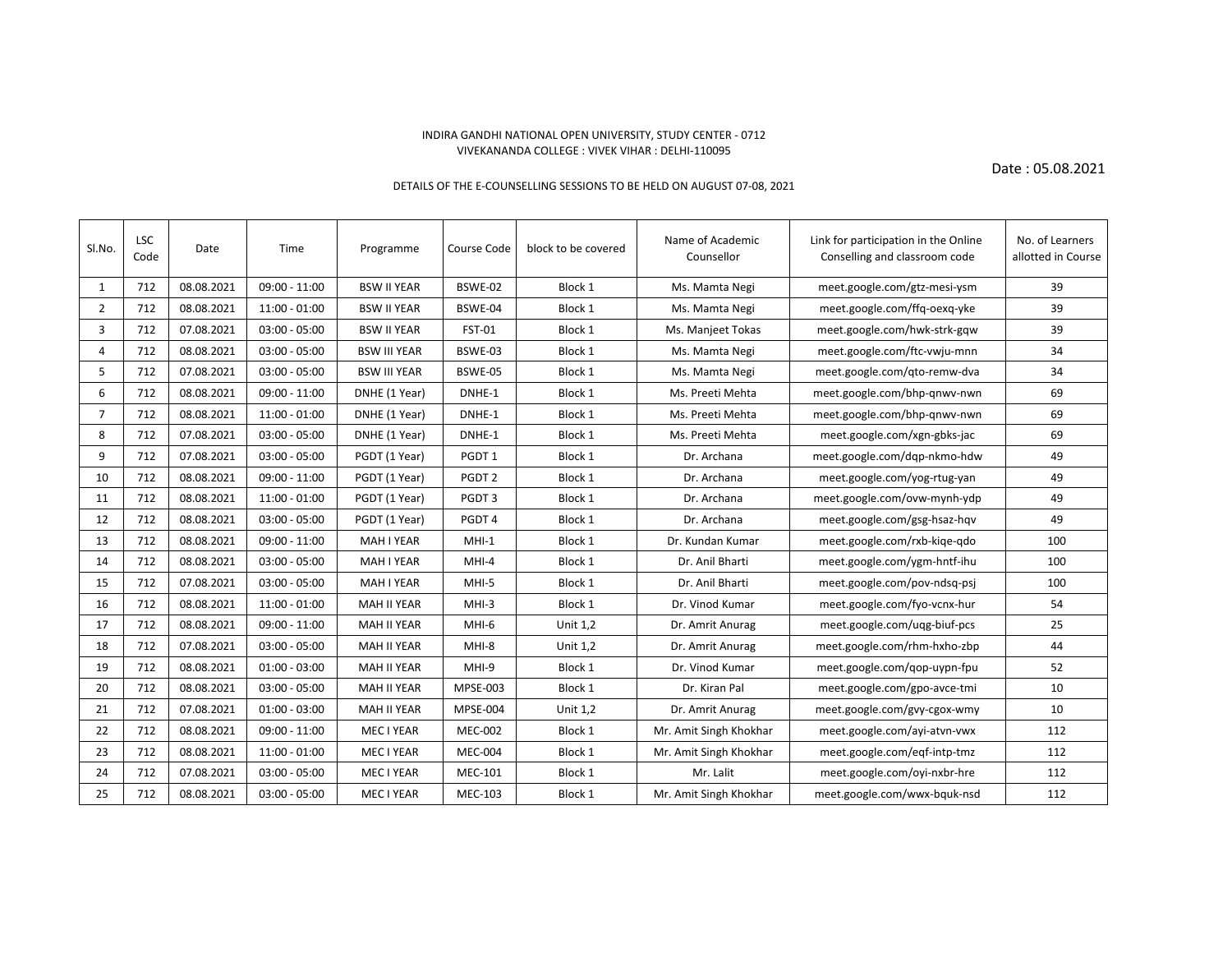## INDIRA GANDHI NATIONAL OPEN UNIVERSITY, STUDY CENTER - 0712 VIVEKANANDA COLLEGE : VIVEK VIHAR : DELHI-110095

Date : 05.08.2021

## DETAILS OF THE E-COUNSELLING SESSIONS TO BE HELD ON AUGUST 07-08, 2021

| Sl.No.         | <b>LSC</b><br>Code | Date       | Time            | Programme           | Course Code       | block to be covered | Name of Academic<br>Counsellor | Link for participation in the Online<br>Conselling and classroom code | No. of Learners<br>allotted in Course |
|----------------|--------------------|------------|-----------------|---------------------|-------------------|---------------------|--------------------------------|-----------------------------------------------------------------------|---------------------------------------|
| 1              | 712                | 08.08.2021 | $09:00 - 11:00$ | <b>BSW II YEAR</b>  | BSWE-02           | Block 1             | Ms. Mamta Negi                 | meet.google.com/gtz-mesi-ysm                                          | 39                                    |
| $\overline{2}$ | 712                | 08.08.2021 | $11:00 - 01:00$ | <b>BSW II YEAR</b>  | BSWE-04           | Block 1             | Ms. Mamta Negi                 | meet.google.com/ffq-oexq-yke                                          | 39                                    |
| 3              | 712                | 07.08.2021 | $03:00 - 05:00$ | <b>BSW II YEAR</b>  | FST-01            | Block 1             | Ms. Manjeet Tokas              | meet.google.com/hwk-strk-gqw                                          | 39                                    |
| 4              | 712                | 08.08.2021 | $03:00 - 05:00$ | <b>BSW III YEAR</b> | BSWE-03           | Block 1             | Ms. Mamta Negi                 | meet.google.com/ftc-vwju-mnn                                          | 34                                    |
| 5              | 712                | 07.08.2021 | $03:00 - 05:00$ | <b>BSW III YEAR</b> | BSWE-05           | Block 1             | Ms. Mamta Negi                 | meet.google.com/qto-remw-dva                                          | 34                                    |
| 6              | 712                | 08.08.2021 | $09:00 - 11:00$ | DNHE (1 Year)       | DNHE-1            | Block 1             | Ms. Preeti Mehta               | meet.google.com/bhp-gnwv-nwn                                          | 69                                    |
| $\overline{7}$ | 712                | 08.08.2021 | $11:00 - 01:00$ | DNHE (1 Year)       | DNHE-1            | Block 1             | Ms. Preeti Mehta               | meet.google.com/bhp-gnwv-nwn                                          | 69                                    |
| 8              | 712                | 07.08.2021 | $03:00 - 05:00$ | DNHE (1 Year)       | DNHE-1            | Block 1             | Ms. Preeti Mehta               | meet.google.com/xgn-gbks-jac                                          | 69                                    |
| 9              | 712                | 07.08.2021 | $03:00 - 05:00$ | PGDT (1 Year)       | PGDT1             | Block 1             | Dr. Archana                    | meet.google.com/dqp-nkmo-hdw                                          | 49                                    |
| 10             | 712                | 08.08.2021 | $09:00 - 11:00$ | PGDT (1 Year)       | PGDT <sub>2</sub> | Block 1             | Dr. Archana                    | meet.google.com/yog-rtug-yan                                          | 49                                    |
| 11             | 712                | 08.08.2021 | $11:00 - 01:00$ | PGDT (1 Year)       | PGDT3             | Block 1             | Dr. Archana                    | meet.google.com/ovw-mynh-ydp                                          | 49                                    |
| 12             | 712                | 08.08.2021 | $03:00 - 05:00$ | PGDT (1 Year)       | PGDT4             | Block 1             | Dr. Archana                    | meet.google.com/gsg-hsaz-hqv                                          | 49                                    |
| 13             | 712                | 08.08.2021 | $09:00 - 11:00$ | <b>MAH I YEAR</b>   | $MHI-1$           | Block 1             | Dr. Kundan Kumar               | meet.google.com/rxb-kige-gdo                                          | 100                                   |
| 14             | 712                | 08.08.2021 | $03:00 - 05:00$ | <b>MAH I YEAR</b>   | $MHI-4$           | Block 1             | Dr. Anil Bharti                | meet.google.com/ygm-hntf-ihu                                          | 100                                   |
| 15             | 712                | 07.08.2021 | $03:00 - 05:00$ | <b>MAH I YEAR</b>   | MHI-5             | Block 1             | Dr. Anil Bharti                | meet.google.com/pov-ndsq-psj                                          | 100                                   |
| 16             | 712                | 08.08.2021 | $11:00 - 01:00$ | MAH II YEAR         | $MHI-3$           | Block 1             | Dr. Vinod Kumar                | meet.google.com/fyo-vcnx-hur                                          | 54                                    |
| 17             | 712                | 08.08.2021 | $09:00 - 11:00$ | <b>MAH II YEAR</b>  | MHI-6             | <b>Unit 1,2</b>     | Dr. Amrit Anurag               | meet.google.com/uqg-biuf-pcs                                          | 25                                    |
| 18             | 712                | 07.08.2021 | $03:00 - 05:00$ | <b>MAH II YEAR</b>  | MHI-8             | <b>Unit 1,2</b>     | Dr. Amrit Anurag               | meet.google.com/rhm-hxho-zbp                                          | 44                                    |
| 19             | 712                | 08.08.2021 | $01:00 - 03:00$ | MAH II YEAR         | MHI-9             | Block 1             | Dr. Vinod Kumar                | meet.google.com/qop-uypn-fpu                                          | 52                                    |
| 20             | 712                | 08.08.2021 | $03:00 - 05:00$ | MAH II YEAR         | MPSE-003          | Block 1             | Dr. Kiran Pal                  | meet.google.com/gpo-avce-tmi                                          | 10                                    |
| 21             | 712                | 07.08.2021 | $01:00 - 03:00$ | <b>MAH II YEAR</b>  | <b>MPSE-004</b>   | Unit 1,2            | Dr. Amrit Anurag               | meet.google.com/gvy-cgox-wmy                                          | 10                                    |
| 22             | 712                | 08.08.2021 | $09:00 - 11:00$ | MEC I YEAR          | <b>MEC-002</b>    | Block 1             | Mr. Amit Singh Khokhar         | meet.google.com/ayi-atvn-vwx                                          | 112                                   |
| 23             | 712                | 08.08.2021 | $11:00 - 01:00$ | MEC I YEAR          | <b>MEC-004</b>    | Block 1             | Mr. Amit Singh Khokhar         | meet.google.com/eqf-intp-tmz                                          | 112                                   |
| 24             | 712                | 07.08.2021 | $03:00 - 05:00$ | MEC I YEAR          | <b>MEC-101</b>    | Block 1             | Mr. Lalit                      | meet.google.com/oyi-nxbr-hre                                          | 112                                   |
| 25             | 712                | 08.08.2021 | $03:00 - 05:00$ | MEC I YEAR          | <b>MEC-103</b>    | Block 1             | Mr. Amit Singh Khokhar         | meet.google.com/wwx-bquk-nsd                                          | 112                                   |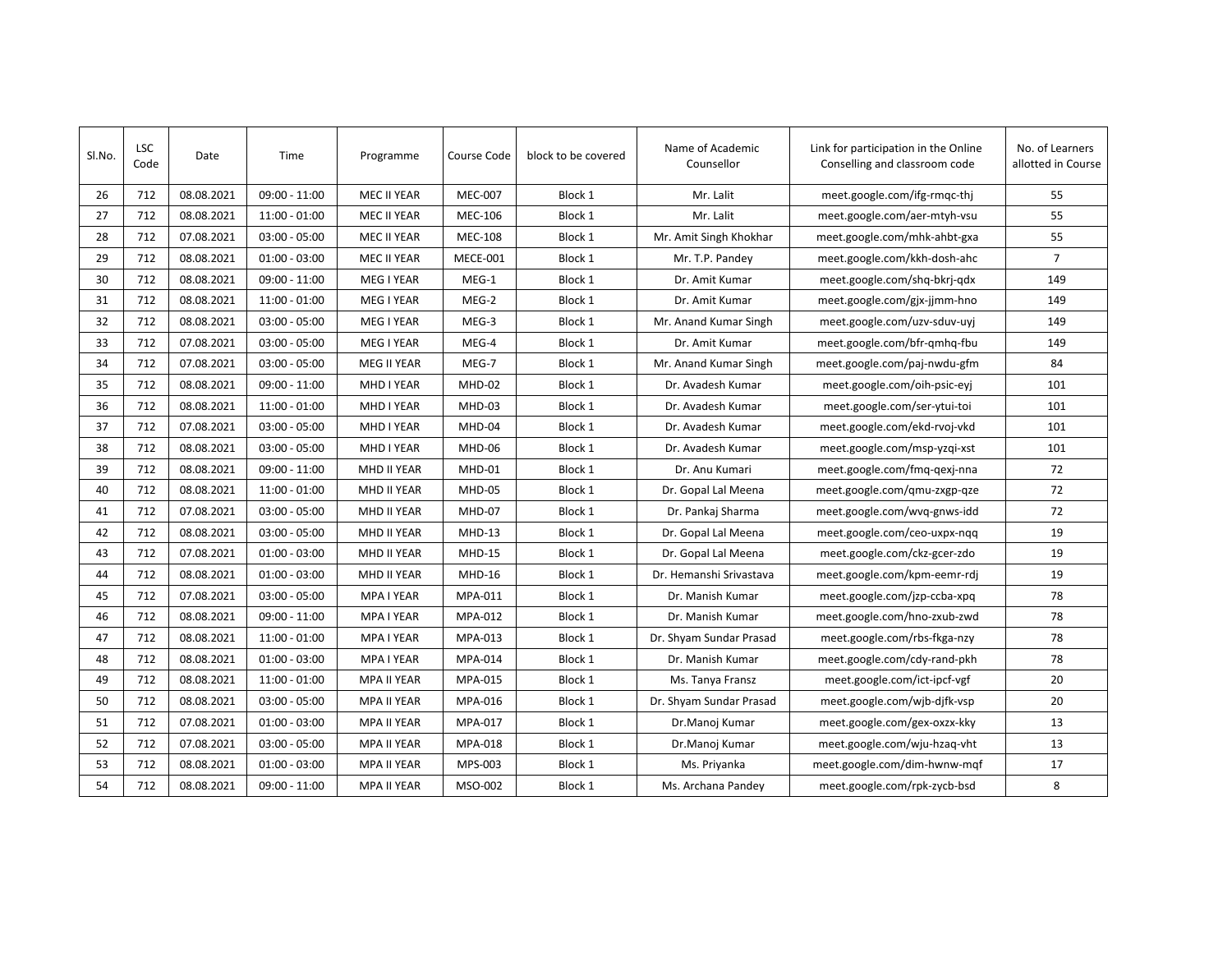| Sl.No. | <b>LSC</b><br>Code | Date       | Time            | Programme          | Course Code    | block to be covered | Name of Academic<br>Counsellor | Link for participation in the Online<br>Conselling and classroom code | No. of Learners<br>allotted in Course |
|--------|--------------------|------------|-----------------|--------------------|----------------|---------------------|--------------------------------|-----------------------------------------------------------------------|---------------------------------------|
| 26     | 712                | 08.08.2021 | $09:00 - 11:00$ | <b>MEC II YEAR</b> | <b>MEC-007</b> | Block 1             | Mr. Lalit                      | meet.google.com/ifg-rmqc-thj                                          | 55                                    |
| 27     | 712                | 08.08.2021 | $11:00 - 01:00$ | MEC II YEAR        | <b>MEC-106</b> | Block 1             | Mr. Lalit                      | meet.google.com/aer-mtyh-vsu                                          | 55                                    |
| 28     | 712                | 07.08.2021 | $03:00 - 05:00$ | MEC II YEAR        | <b>MEC-108</b> | Block 1             | Mr. Amit Singh Khokhar         | meet.google.com/mhk-ahbt-gxa                                          | 55                                    |
| 29     | 712                | 08.08.2021 | $01:00 - 03:00$ | MEC II YEAR        | MECE-001       | Block 1             | Mr. T.P. Pandey                | meet.google.com/kkh-dosh-ahc                                          | $\overline{7}$                        |
| 30     | 712                | 08.08.2021 | $09:00 - 11:00$ | MEG I YEAR         | MEG-1          | Block 1             | Dr. Amit Kumar                 | meet.google.com/shq-bkrj-qdx                                          | 149                                   |
| 31     | 712                | 08.08.2021 | $11:00 - 01:00$ | MEG I YEAR         | MEG-2          | Block 1             | Dr. Amit Kumar                 | meet.google.com/gjx-jjmm-hno                                          | 149                                   |
| 32     | 712                | 08.08.2021 | $03:00 - 05:00$ | MEG I YEAR         | MEG-3          | Block 1             | Mr. Anand Kumar Singh          | meet.google.com/uzv-sduv-uyj                                          | 149                                   |
| 33     | 712                | 07.08.2021 | $03:00 - 05:00$ | MEG I YEAR         | MEG-4          | Block 1             | Dr. Amit Kumar                 | meet.google.com/bfr-qmhq-fbu                                          | 149                                   |
| 34     | 712                | 07.08.2021 | $03:00 - 05:00$ | <b>MEG II YEAR</b> | MEG-7          | Block 1             | Mr. Anand Kumar Singh          | meet.google.com/paj-nwdu-gfm                                          | 84                                    |
| 35     | 712                | 08.08.2021 | $09:00 - 11:00$ | MHD I YEAR         | MHD-02         | Block 1             | Dr. Avadesh Kumar              | meet.google.com/oih-psic-eyj                                          | 101                                   |
| 36     | 712                | 08.08.2021 | $11:00 - 01:00$ | MHD I YEAR         | MHD-03         | Block 1             | Dr. Avadesh Kumar              | meet.google.com/ser-ytui-toi                                          | 101                                   |
| 37     | 712                | 07.08.2021 | $03:00 - 05:00$ | MHD I YEAR         | MHD-04         | Block 1             | Dr. Avadesh Kumar              | meet.google.com/ekd-rvoj-vkd                                          | 101                                   |
| 38     | 712                | 08.08.2021 | $03:00 - 05:00$ | MHD I YEAR         | MHD-06         | Block 1             | Dr. Avadesh Kumar              | meet.google.com/msp-yzqi-xst                                          | 101                                   |
| 39     | 712                | 08.08.2021 | $09:00 - 11:00$ | MHD II YEAR        | MHD-01         | Block 1             | Dr. Anu Kumari                 | meet.google.com/fmq-qexj-nna                                          | 72                                    |
| 40     | 712                | 08.08.2021 | $11:00 - 01:00$ | MHD II YEAR        | MHD-05         | Block 1             | Dr. Gopal Lal Meena            | meet.google.com/gmu-zxgp-qze                                          | 72                                    |
| 41     | 712                | 07.08.2021 | $03:00 - 05:00$ | MHD II YEAR        | MHD-07         | Block 1             | Dr. Pankaj Sharma              | meet.google.com/wvq-gnws-idd                                          | 72                                    |
| 42     | 712                | 08.08.2021 | $03:00 - 05:00$ | MHD II YEAR        | $MHD-13$       | Block 1             | Dr. Gopal Lal Meena            | meet.google.com/ceo-uxpx-nqq                                          | 19                                    |
| 43     | 712                | 07.08.2021 | $01:00 - 03:00$ | MHD II YEAR        | <b>MHD-15</b>  | Block 1             | Dr. Gopal Lal Meena            | meet.google.com/ckz-gcer-zdo                                          | 19                                    |
| 44     | 712                | 08.08.2021 | $01:00 - 03:00$ | MHD II YEAR        | MHD-16         | Block 1             | Dr. Hemanshi Srivastava        | meet.google.com/kpm-eemr-rdj                                          | 19                                    |
| 45     | 712                | 07.08.2021 | $03:00 - 05:00$ | <b>MPA I YEAR</b>  | MPA-011        | Block 1             | Dr. Manish Kumar               | meet.google.com/jzp-ccba-xpq                                          | 78                                    |
| 46     | 712                | 08.08.2021 | $09:00 - 11:00$ | <b>MPA I YEAR</b>  | MPA-012        | Block 1             | Dr. Manish Kumar               | meet.google.com/hno-zxub-zwd                                          | 78                                    |
| 47     | 712                | 08.08.2021 | $11:00 - 01:00$ | MPA I YEAR         | MPA-013        | Block 1             | Dr. Shyam Sundar Prasad        | meet.google.com/rbs-fkga-nzy                                          | 78                                    |
| 48     | 712                | 08.08.2021 | $01:00 - 03:00$ | MPA I YEAR         | MPA-014        | Block 1             | Dr. Manish Kumar               | meet.google.com/cdy-rand-pkh                                          | 78                                    |
| 49     | 712                | 08.08.2021 | $11:00 - 01:00$ | <b>MPA II YEAR</b> | MPA-015        | Block 1             | Ms. Tanya Fransz               | meet.google.com/ict-ipcf-vgf                                          | 20                                    |
| 50     | 712                | 08.08.2021 | $03:00 - 05:00$ | MPA II YEAR        | MPA-016        | Block 1             | Dr. Shyam Sundar Prasad        | meet.google.com/wjb-djfk-vsp                                          | 20                                    |
| 51     | 712                | 07.08.2021 | $01:00 - 03:00$ | <b>MPA II YEAR</b> | MPA-017        | Block 1             | Dr.Manoj Kumar                 | meet.google.com/gex-oxzx-kky                                          | 13                                    |
| 52     | 712                | 07.08.2021 | $03:00 - 05:00$ | MPA II YEAR        | MPA-018        | Block 1             | Dr.Manoj Kumar                 | meet.google.com/wju-hzaq-vht                                          | 13                                    |
| 53     | 712                | 08.08.2021 | $01:00 - 03:00$ | <b>MPA II YEAR</b> | MPS-003        | Block 1             | Ms. Priyanka                   | meet.google.com/dim-hwnw-mqf                                          | 17                                    |
| 54     | 712                | 08.08.2021 | $09:00 - 11:00$ | <b>MPA II YEAR</b> | MSO-002        | Block 1             | Ms. Archana Pandey             | meet.google.com/rpk-zycb-bsd                                          | 8                                     |